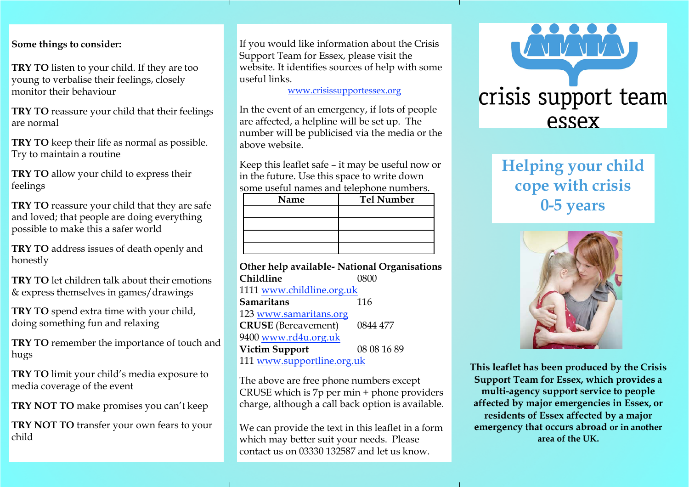#### **Some things to consider:**

**TRY TO** listen to your child. If they are too young to verbalise their feelings, closely monitor their behaviour

**TRY TO** reassure your child that their feelings are normal

**TRY TO** keep their life as normal as possible. Try to maintain a routine

**TRY TO** allow your child to express their feelings

**TRY TO** reassure your child that they are safe and loved; that people are doing everything possible to make this a safer world

**TRY TO** address issues of death openly and honestly

**TRY TO** let children talk about their emotions & express themselves in games/drawings

**TRY TO** spend extra time with your child, doing something fun and relaxing

**TRY TO** remember the importance of touch and hugs

**TRY TO** limit your child's media exposure to media coverage of the event

**TRY NOT TO** make promises you can't keep

**TRY NOT TO** transfer your own fears to your child

If you would like information about the Crisis Support Team for Essex, please visit the website. It identifies sources of help with some useful links.

[www.crisissupportessex.org](http://www.crisissupportessex.org/)

In the event of an emergency, if lots of people are affected, a helpline will be set up. The number will be publicised via the media or the above website.

Keep this leaflet safe – it may be useful now or in the future. Use this space to write down some useful names and telephone numbers.

| Name | <b>Tel Number</b> |
|------|-------------------|
|      |                   |
|      |                   |
|      |                   |
|      |                   |

#### **Other help available- National Organisations Childline** 0800 1111 [www.childline.org.uk](http://www.childline.org.uk/)

| Samaritans                 | 116         |  |
|----------------------------|-------------|--|
| 123 www.samaritans.org     |             |  |
| <b>CRUSE</b> (Bereavement) | 0844 477    |  |
| 9400 www.rd4u.org.uk       |             |  |
| <b>Victim Support</b>      | 08 08 16 89 |  |
| 111 www.supportline.org.uk |             |  |

The above are free phone numbers except CRUSE which is 7p per min + phone providers charge, although a call back option is available.

We can provide the text in this leaflet in a form which may better suit your needs. Please contact us on 03330 132587 and let us know.



# **Helping your child cope with crisis 0-5 years**



**This leaflet has been produced by the Crisis Support Team for Essex, which provides a multi-agency support service to people affected by major emergencies in Essex, or residents of Essex affected by a major emergency that occurs abroad or in another area of the UK.**